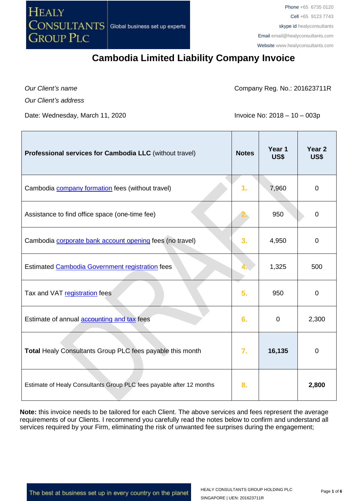**HEALY** CONSULTANTS **GROUP PLC** 

Phone +65 6735 0120 Cell +65 9123 7743 skype id healyconsultants Email [email@healyconsultants.com](mailto:EMAIL@HEALYCONSULTANTS.COM) Website [www.healyconsultants.com](http://www.healyconsultants.com/)

## **Cambodia Limited Liability Company Invoice**

*Our Client's name Our Client's address*

Г

Company Reg. No.: 201623711R

Date: Wednesday, March 11, 2020 **Invoice No: 2018 – 10 – 003p** 

| Professional services for Cambodia LLC (without travel)              | <b>Notes</b>     | Year 1<br>US\$ | Year <sub>2</sub><br>US\$ |
|----------------------------------------------------------------------|------------------|----------------|---------------------------|
| Cambodia <b>company formation</b> fees (without travel)              | 1.               | 7,960          | $\overline{0}$            |
| Assistance to find office space (one-time fee)                       |                  | 950            | 0                         |
| Cambodia corporate bank account opening fees (no travel)             | 3.               | 4,950          | $\mathbf 0$               |
| Estimated Cambodia Government registration fees                      |                  | 1,325          | 500                       |
| Tax and VAT registration fees                                        | 5.               | 950            | 0                         |
| Estimate of annual accounting and tax fees                           | 6.               | $\mathbf{0}$   | 2,300                     |
| Total Healy Consultants Group PLC fees payable this month            | $\overline{7}$ . | 16,135         | 0                         |
| Estimate of Healy Consultants Group PLC fees payable after 12 months | 8.               |                | 2,800                     |

**Note:** this invoice needs to be tailored for each Client. The above services and fees represent the average requirements of our Clients. I recommend you carefully read the notes below to confirm and understand all services required by your Firm, eliminating the risk of unwanted fee surprises during the engagement;

The best at business set up in every country on the planet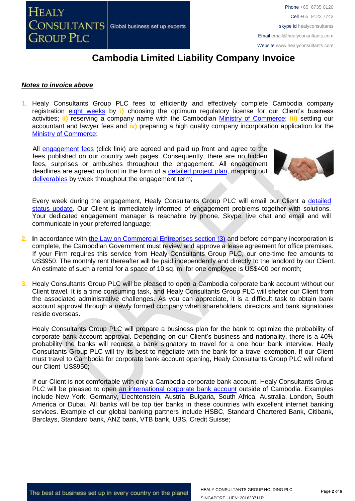

# **Cambodia Limited Liability Company Invoice**

#### *Notes to invoice above*

**1.** Healy Consultants Group PLC fees to efficiently and effectively complete Cambodia company registration [eight weeks](http://www.healyconsultants.com/cambodia-company-registration/fees-timelines/) by **i)** choosing the optimum regulatory license for our Client's business activities; **ii)** reserving a company name with the Cambodian [Ministry of Commerce;](http://www.moc.gov.kh/) **iii)** settling our accountant and lawyer fees and **iv)** preparing a high quality company incorporation application for the [Ministry of Commerce;](http://www.moc.gov.kh/)

All [engagement fees](http://www.healyconsultants.com/company-registration-fees/) (click link) are agreed and paid up front and agree to the fees published on our country web pages. Consequently, there are no hidden fees, surprises or ambushes throughout the engagement. All engagement deadlines are agreed up front in the form of a [detailed project plan,](http://www.healyconsultants.com/index-important-links/example-project-plan/) mapping out [deliverables](http://www.healyconsultants.com/deliverables-to-our-clients/) by week throughout the engagement term;



Every week during the engagement, Healy Consultants Group PLC will email our Client a detailed [status update.](http://www.healyconsultants.com/index-important-links/weekly-engagement-status-email/) Our Client is immediately informed of engagement problems together with solutions. Your dedicated engagement manager is reachable by phone, Skype, live chat and email and will communicate in your preferred language;

- **2. I**n accordance with [the Law on Commercial Entreprises section \(3\)](http://www.cambodiainvestment.gov.kh/content/uploads/2012/03/Law-on-Commercial-Enterprises_English_050517.pdf) and before company incorporation is complete, the Cambodian Government must review and approve a lease agreement for office premises. If your Firm requires this service from Healy Consultants Group PLC, our one-time fee amounts to US\$950. The monthly rent thereafter will be paid independently and directly to the landlord by our Client. An estimate of such a rental for a space of 10 sq. m. for one employee is US\$400 per month;
- **3.** Healy Consultants Group PLC will be pleased to open a Cambodia corporate bank account without our Client travel. It is a time consuming task, and Healy Consultants Group PLC will shelter our Client from the associated administrative challenges. As you can appreciate, it is a difficult task to obtain bank account approval through a newly formed company when shareholders, directors and bank signatories reside overseas.

Healy Consultants Group PLC will prepare a business plan for the bank to optimize the probability of corporate bank account approval. Depending on our Client's business and nationality, there is a 40% probability the banks will request a bank signatory to travel for a one hour bank interview. Healy Consultants Group PLC will try its best to negotiate with the bank for a travel exemption. If our Client must travel to Cambodia for corporate bank account opening, Healy Consultants Group PLC will refund our Client US\$950;

If our Client is not comfortable with only a Cambodia corporate bank account, Healy Consultants Group PLC will be pleased to open [an international corporate bank account](http://www.healyconsultants.com/international-banking/) outside of Cambodia. Examples include New York, Germany, Liechtenstein, Austria, Bulgaria, South Africa, Australia, London, South America or Dubai. All banks will be top tier banks in these countries with excellent internet banking services. Example of our global banking partners include HSBC, Standard Chartered Bank, Citibank, Barclays, Standard bank, ANZ bank, VTB bank, UBS, Credit Suisse;

The best at business set up in every country on the planet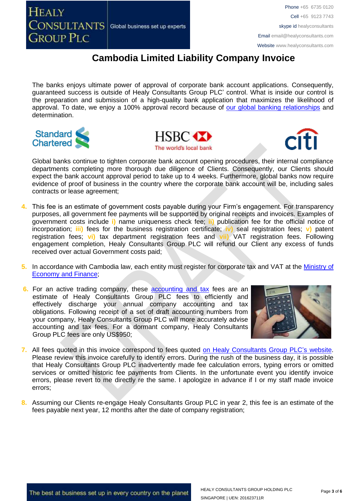**HEALY CONSULTANTS** Global business set up experts **GROUP PLC** 

Phone +65 6735 0120 Cell +65 9123 7743 skype id healyconsultants Email [email@healyconsultants.com](mailto:EMAIL@HEALYCONSULTANTS.COM) Website [www.healyconsultants.com](http://www.healyconsultants.com/)

# **Cambodia Limited Liability Company Invoice**

The banks enjoys ultimate power of approval of corporate bank account applications. Consequently, guaranteed success is outside of Healy Consultants Group PLC' control. What is inside our control is the preparation and submission of a high-quality bank application that maximizes the likelihood of approval. To date, we enjoy a 100% approval record because of [our global banking relationships](http://www.healyconsultants.com/international-banking/corporate-accounts/) and determination.







Global banks continue to tighten corporate bank account opening procedures, their internal compliance departments completing more thorough due diligence of Clients. Consequently, our Clients should expect the bank account approval period to take up to 4 weeks. Furthermore, global banks now require evidence of proof of business in the country where the corporate bank account will be, including sales contracts or lease agreement;

- **4.** This fee is an estimate of government costs payable during your Firm's engagement. For transparency purposes, all government fee payments will be supported by original receipts and invoices. Examples of government costs include **i)** name uniqueness check fee; **ii)** publication fee for the official notice of incorporation; **iii)** fees for the business registration certificate; **iv)** seal registration fees; **v)** patent registration fees; **vi)** tax department registration fees and **vii)** VAT registration fees. Following engagement completion, Healy Consultants Group PLC will refund our Client any excess of funds received over actual Government costs paid;
- **5.** In accordance with Cambodia law, each entity must register for corporate tax and VAT at the [Ministry of](http://www.mef.gov.kh/)  [Economy and Finance;](http://www.mef.gov.kh/)
- **6.** For an active trading company, these **accounting and tax** fees are an estimate of Healy Consultants Group PLC fees to efficiently and effectively discharge your annual company accounting and tax obligations. Following receipt of a set of draft accounting numbers from your company, Healy Consultants Group PLC will more accurately advise accounting and tax fees. For a dormant company, Healy Consultants Group PLC fees are only US\$950;



- **7.** All fees quoted in this invoice correspond to fees quoted [on Healy Consultants Group PLC's](http://www.healyconsultants.com/company-registration-fees/) website. Please review this invoice carefully to identify errors. During the rush of the business day, it is possible that Healy Consultants Group PLC inadvertently made fee calculation errors, typing errors or omitted services or omitted historic fee payments from Clients. In the unfortunate event you identify invoice errors, please revert to me directly re the same. I apologize in advance if I or my staff made invoice errors;
- **8.** Assuming our Clients re-engage Healy Consultants Group PLC in year 2, this fee is an estimate of the fees payable next year, 12 months after the date of company registration;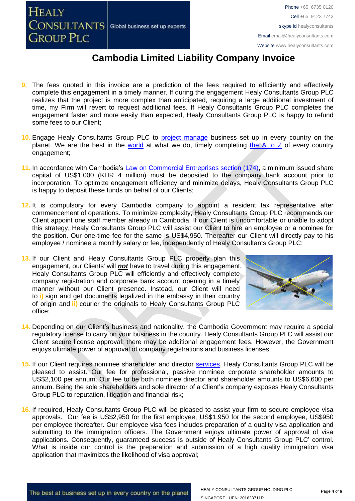**HEALY CONSULTANTS** Global business set up experts **GROUP PLC** 

Phone +65 6735 0120 Cell +65 9123 7743 skype id healyconsultants Email [email@healyconsultants.com](mailto:EMAIL@HEALYCONSULTANTS.COM) Website [www.healyconsultants.com](http://www.healyconsultants.com/)

## **Cambodia Limited Liability Company Invoice**

- **9.** The fees quoted in this invoice are a prediction of the fees required to efficiently and effectively complete this engagement in a timely manner. If during the engagement Healy Consultants Group PLC realizes that the project is more complex than anticipated, requiring a large additional investment of time, my Firm will revert to request additional fees. If Healy Consultants Group PLC completes the engagement faster and more easily than expected, Healy Consultants Group PLC is happy to refund some fees to our Client;
- 10. Engage Healy Consultants Group PLC to **project manage** business set up in every country on the planet. We are the best in the [world](http://www.healyconsultants.com/best-in-the-world/) at what we do, timely completing the  $A$  to  $Z$  of every country engagement;
- **11.** In accordance with Cambodia's Law [on Commercial Entreprises section \(174\),](http://www.cambodiainvestment.gov.kh/content/uploads/2012/03/Law-on-Commercial-Enterprises_English_050517.pdf) a minimum issued share capital of US\$1,000 (KHR 4 million) must be deposited to the company bank account prior to incorporation. To optimize engagement efficiency and minimize delays, Healy Consultants Group PLC is happy to deposit these funds on behalf of our Clients;
- **12.** It is compulsory for every Cambodia company to appoint a resident tax representative after commencement of operations. To minimize complexity, Healy Consultants Group PLC recommends our Client appoint one staff member already in Cambodia. If our Client is uncomfortable or unable to adopt this strategy, Healy Consultants Group PLC will assist our Client to hire an employee or a nominee for the position. Our one-time fee for the same is US\$4,950. Thereafter our Client will directly pay to his employee / nominee a monthly salary or fee, independently of Healy Consultants Group PLC;
- 13. If our Client and Healy Consultants Group PLC properly plan this engagement, our Clients' will *not* have to travel during this engagement. Healy Consultants Group PLC will efficiently and effectively complete company registration and corporate bank account opening in a timely manner without our Client presence. Instead, our Client will need to **i)** sign and get documents legalized in the embassy in their country of origin and **ii)** courier the originals to Healy Consultants Group PLC office;



- **14.** Depending on our Client's business and nationality, the Cambodia Government may require a special regulatory license to carry on your business in the country. Healy Consultants Group PLC will assist our Client secure license approval; there may be additional engagement fees. However, the Government enjoys ultimate power of approval of company registrations and business licenses;
- **15.** If our Client requires nominee shareholder and director [services,](http://www.healyconsultants.com/corporate-outsourcing-services/nominee-shareholders-directors/) Healy Consultants Group PLC will be pleased to assist. Our fee for professional, passive nominee corporate shareholder amounts to US\$2,100 per annum. Our fee to be both nominee director and shareholder amounts to US\$6,600 per annum. Being the sole shareholders and sole director of a Client's company exposes Healy Consultants Group PLC to reputation, litigation and financial risk;
- **16.** If required, Healy Consultants Group PLC will be pleased to assist your firm to secure employee visa approvals. Our fee is US\$2,950 for the first employee, US\$1,950 for the second employee, US\$950 per employee thereafter. Our employee visa fees includes preparation of a quality visa application and submitting to the immigration officers. The Government enjoys ultimate power of approval of visa applications. Consequently, guaranteed success is outside of Healy Consultants Group PLC' control. What is inside our control is the preparation and submission of a high quality immigration visa application that maximizes the likelihood of visa approval;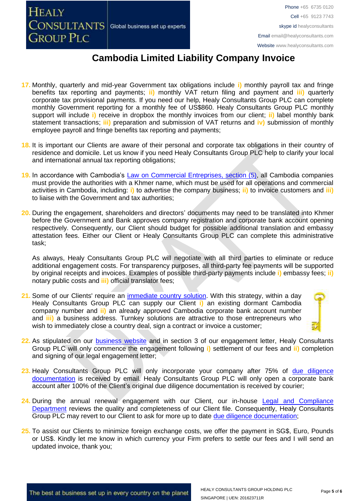**HEALY CONSULTANTS** Global business set up experts **GROUP PLC** 

### **Cambodia Limited Liability Company Invoice**

- **17.** Monthly, quarterly and mid-year Government tax obligations include **i)** monthly payroll tax and fringe benefits tax reporting and payments; **ii)** monthly VAT return filing and payment and **iii)** quarterly corporate tax provisional payments. If you need our help, Healy Consultants Group PLC can complete monthly Government reporting for a monthly fee of US\$860. Healy Consultants Group PLC monthly support will include **i)** receive in dropbox the monthly invoices from our client; **ii)** label monthly bank statement transactions; **iii)** preparation and submission of VAT returns and **iv)** submission of monthly employee payroll and fringe benefits tax reporting and payments;
- **18.** It is important our Clients are aware of their personal and corporate tax obligations in their country of residence and domicile. Let us know if you need Healy Consultants Group PLC help to clarify your local and international annual tax reporting obligations;
- **19.** In accordance with Cambodia's [Law on Commercial Entreprises,](http://www.cambodiainvestment.gov.kh/content/uploads/2012/03/Law-on-Commercial-Enterprises_English_050517.pdf) section (5), all Cambodia companies must provide the authorities with a Khmer name, which must be used for all operations and commercial activities in Cambodia, including: **i)** to advertise the company business; **ii)** to invoice customers and **iii)** to liaise with the Government and tax authorities;
- **20.** During the engagement, shareholders and directors' documents may need to be translated into Khmer before the Government and Bank approves company registration and corporate bank account opening respectively. Consequently, our Client should budget for possible additional translation and embassy attestation fees. Either our Client or Healy Consultants Group PLC can complete this administrative task;

As always, Healy Consultants Group PLC will negotiate with all third parties to eliminate or reduce additional engagement costs. For transparency purposes, all third-party fee payments will be supported by original receipts and invoices. Examples of possible third-party payments include **i)** embassy fees; **ii)** notary public costs and **iii)** official translator fees;

21. Some of our Clients' require an [immediate country](http://www.healyconsultants.com/turnkey-solutions/) solution. With this strategy, within a day Healy Consultants Group PLC can supply our Client **i)** an existing dormant Cambodia company number and **ii)** an already approved Cambodia corporate bank account number and **iii)** a business address. Turnkey solutions are attractive to those entrepreneurs who wish to immediately close a country deal, sign a contract or invoice a customer;



- **22.** As stipulated on our [business website](http://www.healyconsultants.com/) and in section 3 of our engagement letter, Healy Consultants Group PLC will only commence the engagement following **i)** settlement of our fees and **ii)** completion and signing of our legal engagement letter;
- 23. Healy Consultants Group PLC will only incorporate your company after 75% of due diligence [documentation](http://www.healyconsultants.com/due-diligence/) is received by email. Healy Consultants Group PLC will only open a corporate bank account after 100% of the Client's original due diligence documentation is received by courier;
- 24. During the annual renewal engagement with our Client, our in-house Legal and Compliance [Department](http://www.healyconsultants.com/about-us/key-personnel/cai-xin-profile/) reviews the quality and completeness of our Client file. Consequently, Healy Consultants Group PLC may revert to our Client to ask for more up to date [due diligence documentation;](http://www.healyconsultants.com/due-diligence/)
- **25.** To assist our Clients to minimize foreign exchange costs, we offer the payment in SG\$, Euro, Pounds or US\$. Kindly let me know in which currency your Firm prefers to settle our fees and I will send an updated invoice, thank you;